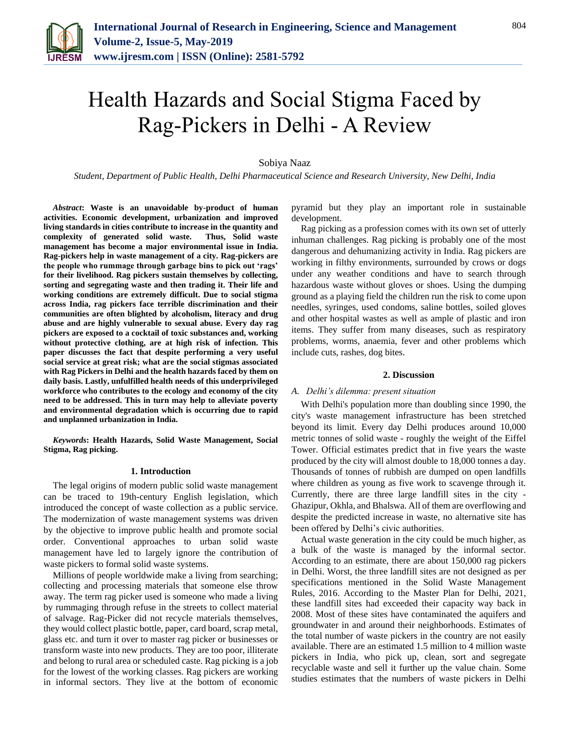

# Health Hazards and Social Stigma Faced by Rag-Pickers in Delhi - A Review

Sobiya Naaz

*Student, Department of Public Health, Delhi Pharmaceutical Science and Research University, New Delhi, India*

*Abstract***: Waste is an unavoidable by-product of human activities. Economic development, urbanization and improved living standards in cities contribute to increase in the quantity and complexity of generated solid waste. Thus, Solid waste management has become a major environmental issue in India. Rag-pickers help in waste management of a city. Rag-pickers are the people who rummage through garbage bins to pick out 'rags' for their livelihood. Rag pickers sustain themselves by collecting, sorting and segregating waste and then trading it. Their life and working conditions are extremely difficult. Due to social stigma across India, rag pickers face terrible discrimination and their communities are often blighted by alcoholism, literacy and drug abuse and are highly vulnerable to sexual abuse. Every day rag pickers are exposed to a cocktail of toxic substances and, working without protective clothing, are at high risk of infection. This paper discusses the fact that despite performing a very useful social service at great risk; what are the social stigmas associated with Rag Pickers in Delhi and the health hazards faced by them on daily basis. Lastly, unfulfilled health needs of this underprivileged workforce who contributes to the ecology and economy of the city need to be addressed. This in turn may help to alleviate poverty and environmental degradation which is occurring due to rapid and unplanned urbanization in India.**

*Keywords***: Health Hazards, Solid Waste Management, Social Stigma, Rag picking.**

#### **1. Introduction**

The legal origins of modern public solid waste management can be traced to 19th-century English legislation, which introduced the concept of waste collection as a public service. The modernization of waste management systems was driven by the objective to improve public health and promote social order. Conventional approaches to urban solid waste management have led to largely ignore the contribution of waste pickers to formal solid waste systems.

Millions of people worldwide make a living from searching; collecting and processing materials that someone else throw away. The term rag picker used is someone who made a living by rummaging through refuse in the streets to collect material of salvage. Rag-Picker did not recycle materials themselves, they would collect plastic bottle, paper, card board, scrap metal, glass etc. and turn it over to master rag picker or businesses or transform waste into new products. They are too poor, illiterate and belong to rural area or scheduled caste. Rag picking is a job for the lowest of the working classes. Rag pickers are working in informal sectors. They live at the bottom of economic

pyramid but they play an important role in sustainable development.

Rag picking as a profession comes with its own set of utterly inhuman challenges. Rag picking is probably one of the most dangerous and dehumanizing activity in India. Rag pickers are working in filthy environments, surrounded by crows or dogs under any weather conditions and have to search through hazardous waste without gloves or shoes. Using the dumping ground as a playing field the children run the risk to come upon needles, syringes, used condoms, saline bottles, soiled gloves and other hospital wastes as well as ample of plastic and iron items. They suffer from many diseases, such as respiratory problems, worms, anaemia, fever and other problems which include cuts, rashes, dog bites.

#### **2. Discussion**

#### *A. Delhi's dilemma: present situation*

With Delhi's population more than doubling since 1990, the city's waste management infrastructure has been stretched beyond its limit. Every day Delhi produces around 10,000 metric tonnes of solid waste - roughly the weight of the Eiffel Tower. Official estimates predict that in five years the waste produced by the city will almost double to 18,000 tonnes a day. Thousands of tonnes of rubbish are dumped on open landfills where children as young as five work to scavenge through it. Currently, there are three large landfill sites in the city - Ghazipur, Okhla, and Bhalswa. All of them are overflowing and despite the predicted increase in waste, no alternative site has been offered by Delhi's civic authorities.

Actual waste generation in the city could be much higher, as a bulk of the waste is managed by the informal sector. According to an estimate, there are about 150,000 rag pickers in Delhi. Worst, the three landfill sites are not designed as per specifications mentioned in the Solid Waste Management Rules, 2016. According to the Master Plan for Delhi, 2021, these landfill sites had exceeded their capacity way back in 2008. Most of these sites have contaminated the aquifers and groundwater in and around their neighborhoods. Estimates of the total number of waste pickers in the country are not easily available. There are an estimated 1.5 million to 4 million waste pickers in India, who pick up, clean, sort and segregate recyclable waste and sell it further up the value chain. Some studies estimates that the numbers of waste pickers in Delhi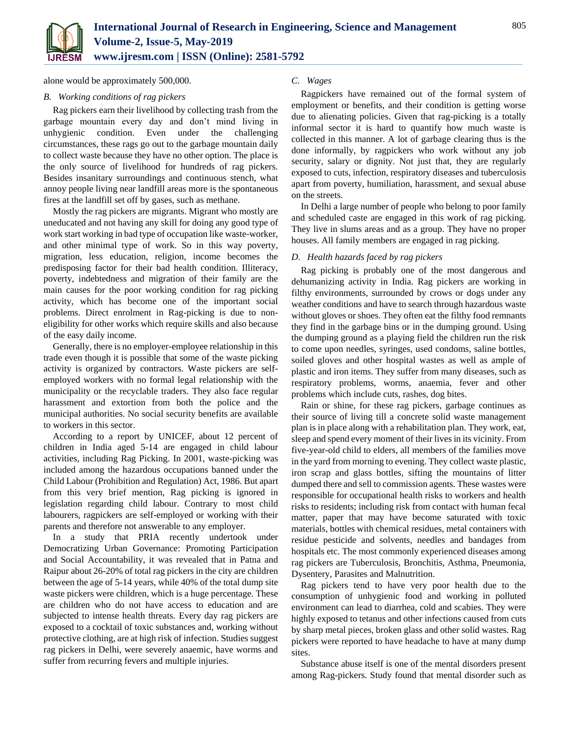

alone would be approximately 500,000.

## *B. Working conditions of rag pickers*

Rag pickers earn their livelihood by collecting trash from the garbage mountain every day and don't mind living in unhygienic condition. Even under the challenging circumstances, these rags go out to the garbage mountain daily to collect waste because they have no other option. The place is the only source of livelihood for hundreds of rag pickers. Besides insanitary surroundings and continuous stench, what annoy people living near landfill areas more is the spontaneous fires at the landfill set off by gases, such as methane.

Mostly the rag pickers are migrants. Migrant who mostly are uneducated and not having any skill for doing any good type of work start working in bad type of occupation like waste-worker, and other minimal type of work. So in this way poverty, migration, less education, religion, income becomes the predisposing factor for their bad health condition. Illiteracy, poverty, indebtedness and migration of their family are the main causes for the poor working condition for rag picking activity, which has become one of the important social problems. Direct enrolment in Rag-picking is due to noneligibility for other works which require skills and also because of the easy daily income.

Generally, there is no employer-employee relationship in this trade even though it is possible that some of the waste picking activity is organized by contractors. Waste pickers are selfemployed workers with no formal legal relationship with the municipality or the recyclable traders. They also face regular harassment and extortion from both the police and the municipal authorities. No social security benefits are available to workers in this sector.

According to a report by UNICEF, about 12 percent of children in India aged 5-14 are engaged in child labour activities, including Rag Picking. In 2001, waste-picking was included among the hazardous occupations banned under the Child Labour (Prohibition and Regulation) Act, 1986. But apart from this very brief mention, Rag picking is ignored in legislation regarding child labour. Contrary to most child labourers, ragpickers are self-employed or working with their parents and therefore not answerable to any employer.

In a study that PRIA recently undertook under Democratizing Urban Governance: Promoting Participation and Social Accountability, it was revealed that in Patna and Raipur about 26-20% of total rag pickers in the city are children between the age of 5-14 years, while 40% of the total dump site waste pickers were children, which is a huge percentage. These are children who do not have access to education and are subjected to intense health threats. Every day rag pickers are exposed to a cocktail of toxic substances and, working without protective clothing, are at high risk of infection. Studies suggest rag pickers in Delhi, were severely anaemic, have worms and suffer from recurring fevers and multiple injuries.

# *C. Wages*

Ragpickers have remained out of the formal system of employment or benefits, and their condition is getting worse due to alienating policies. Given that rag-picking is a totally informal sector it is hard to quantify how much waste is collected in this manner. A lot of garbage clearing thus is the done informally, by ragpickers who work without any job security, salary or dignity. Not just that, they are regularly exposed to cuts, infection, respiratory diseases and tuberculosis apart from poverty, humiliation, harassment, and sexual abuse on the streets.

In Delhi a large number of people who belong to poor family and scheduled caste are engaged in this work of rag picking. They live in slums areas and as a group. They have no proper houses. All family members are engaged in rag picking.

### *D. Health hazards faced by rag pickers*

Rag picking is probably one of the most dangerous and dehumanizing activity in India. Rag pickers are working in filthy environments, surrounded by crows or dogs under any weather conditions and have to search through hazardous waste without gloves or shoes. They often eat the filthy food remnants they find in the garbage bins or in the dumping ground. Using the dumping ground as a playing field the children run the risk to come upon needles, syringes, used condoms, saline bottles, soiled gloves and other hospital wastes as well as ample of plastic and iron items. They suffer from many diseases, such as respiratory problems, worms, anaemia, fever and other problems which include cuts, rashes, dog bites.

Rain or shine, for these rag pickers, garbage continues as their source of living till a concrete solid waste management plan is in place along with a rehabilitation plan. They work, eat, sleep and spend every moment of their lives in its vicinity. From five-year-old child to elders, all members of the families move in the yard from morning to evening. They collect waste plastic, iron scrap and glass bottles, sifting the mountains of litter dumped there and sell to commission agents. These wastes were responsible for occupational health risks to workers and health risks to residents; including risk from contact with human fecal matter, paper that may have become saturated with toxic materials, bottles with chemical residues, metal containers with residue pesticide and solvents, needles and bandages from hospitals etc. The most commonly experienced diseases among rag pickers are Tuberculosis, Bronchitis, Asthma, Pneumonia, Dysentery, Parasites and Malnutrition.

Rag pickers tend to have very poor health due to the consumption of unhygienic food and working in polluted environment can lead to diarrhea, cold and scabies. They were highly exposed to tetanus and other infections caused from cuts by sharp metal pieces, broken glass and other solid wastes. Rag pickers were reported to have headache to have at many dump sites.

Substance abuse itself is one of the mental disorders present among Rag-pickers. Study found that mental disorder such as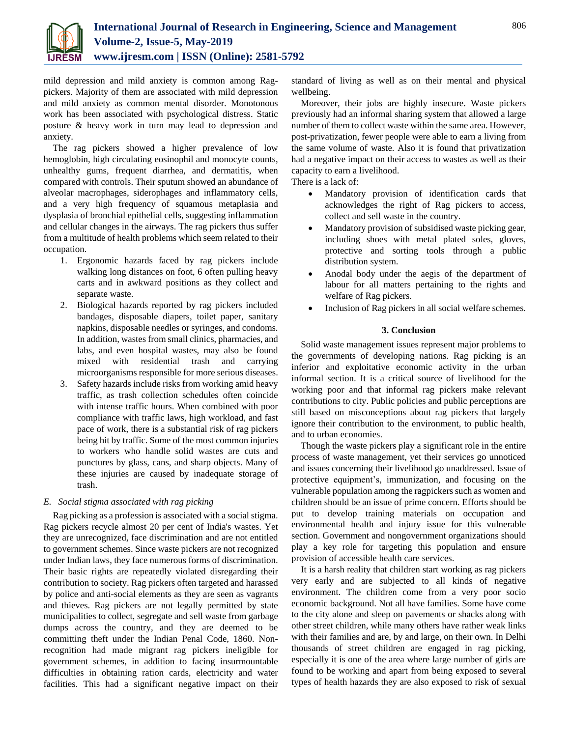

mild depression and mild anxiety is common among Ragpickers. Majority of them are associated with mild depression and mild anxiety as common mental disorder. Monotonous work has been associated with psychological distress. Static posture & heavy work in turn may lead to depression and anxiety.

The rag pickers showed a higher prevalence of low hemoglobin, high circulating eosinophil and monocyte counts, unhealthy gums, frequent diarrhea, and dermatitis, when compared with controls. Their sputum showed an abundance of alveolar macrophages, siderophages and inflammatory cells, and a very high frequency of squamous metaplasia and dysplasia of bronchial epithelial cells, suggesting inflammation and cellular changes in the airways. The rag pickers thus suffer from a multitude of health problems which seem related to their occupation.

- 1. Ergonomic hazards faced by rag pickers include walking long distances on foot, 6 often pulling heavy carts and in awkward positions as they collect and separate waste.
- 2. Biological hazards reported by rag pickers included bandages, disposable diapers, toilet paper, sanitary napkins, disposable needles or syringes, and condoms. In addition, wastes from small clinics, pharmacies, and labs, and even hospital wastes, may also be found mixed with residential trash and carrying microorganisms responsible for more serious diseases.
- 3. Safety hazards include risks from working amid heavy traffic, as trash collection schedules often coincide with intense traffic hours. When combined with poor compliance with traffic laws, high workload, and fast pace of work, there is a substantial risk of rag pickers being hit by traffic. Some of the most common injuries to workers who handle solid wastes are cuts and punctures by glass, cans, and sharp objects. Many of these injuries are caused by inadequate storage of trash.

# *E. Social stigma associated with rag picking*

Rag picking as a profession is associated with a social stigma. Rag pickers recycle almost 20 per cent of India's wastes. Yet they are unrecognized, face discrimination and are not entitled to government schemes. Since waste pickers are not recognized under Indian laws, they face numerous forms of discrimination. Their basic rights are repeatedly violated disregarding their contribution to society. Rag pickers often targeted and harassed by police and anti-social elements as they are seen as vagrants and thieves. Rag pickers are not legally permitted by state municipalities to collect, segregate and sell waste from garbage dumps across the country, and they are deemed to be committing theft under the Indian Penal Code, 1860. Nonrecognition had made migrant rag pickers ineligible for government schemes, in addition to facing insurmountable difficulties in obtaining ration cards, electricity and water facilities. This had a significant negative impact on their

standard of living as well as on their mental and physical wellbeing.

Moreover, their jobs are highly insecure. Waste pickers previously had an informal sharing system that allowed a large number of them to collect waste within the same area. However, post-privatization, fewer people were able to earn a living from the same volume of waste. Also it is found that privatization had a negative impact on their access to wastes as well as their capacity to earn a livelihood.

There is a lack of:

- Mandatory provision of identification cards that acknowledges the right of Rag pickers to access, collect and sell waste in the country.
- Mandatory provision of subsidised waste picking gear, including shoes with metal plated soles, gloves, protective and sorting tools through a public distribution system.
- Anodal body under the aegis of the department of labour for all matters pertaining to the rights and welfare of Rag pickers.
- Inclusion of Rag pickers in all social welfare schemes.

# **3. Conclusion**

Solid waste management issues represent major problems to the governments of developing nations. Rag picking is an inferior and exploitative economic activity in the urban informal section. It is a critical source of livelihood for the working poor and that informal rag pickers make relevant contributions to city. Public policies and public perceptions are still based on misconceptions about rag pickers that largely ignore their contribution to the environment, to public health, and to urban economies.

Though the waste pickers play a significant role in the entire process of waste management, yet their services go unnoticed and issues concerning their livelihood go unaddressed. Issue of protective equipment's, immunization, and focusing on the vulnerable population among the ragpickers such as women and children should be an issue of prime concern. Efforts should be put to develop training materials on occupation and environmental health and injury issue for this vulnerable section. Government and nongovernment organizations should play a key role for targeting this population and ensure provision of accessible health care services.

It is a harsh reality that children start working as rag pickers very early and are subjected to all kinds of negative environment. The children come from a very poor socio economic background. Not all have families. Some have come to the city alone and sleep on pavements or shacks along with other street children, while many others have rather weak links with their families and are, by and large, on their own. In Delhi thousands of street children are engaged in rag picking, especially it is one of the area where large number of girls are found to be working and apart from being exposed to several types of health hazards they are also exposed to risk of sexual